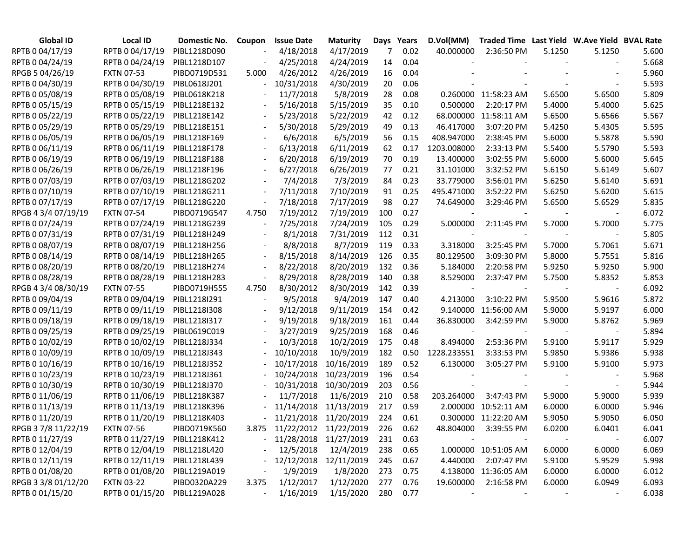| <b>Global ID</b>    | Local ID          | Domestic No. | Coupon                   | <b>Issue Date</b>           | <b>Maturity</b>       |     | Days Years | D.Vol(MM)   | Traded Time Last Yield W.Ave Yield BVAL Rate |        |        |       |
|---------------------|-------------------|--------------|--------------------------|-----------------------------|-----------------------|-----|------------|-------------|----------------------------------------------|--------|--------|-------|
| RPTB 0 04/17/19     | RPTB 0 04/17/19   | PIBL1218D090 |                          | 4/18/2018                   | 4/17/2019             | 7   | 0.02       | 40.000000   | 2:36:50 PM                                   | 5.1250 | 5.1250 | 5.600 |
| RPTB 0 04/24/19     | RPTB 0 04/24/19   | PIBL1218D107 |                          | 4/25/2018                   | 4/24/2019             | 14  | 0.04       |             |                                              |        |        | 5.668 |
| RPGB 5 04/26/19     | <b>FXTN 07-53</b> | PIBD0719D531 | 5.000                    | 4/26/2012                   | 4/26/2019             | 16  | 0.04       |             |                                              |        |        | 5.960 |
| RPTB 0 04/30/19     | RPTB 0 04/30/19   | PIBL0618J201 |                          | 10/31/2018                  | 4/30/2019             | 20  | 0.06       |             |                                              |        |        | 5.593 |
| RPTB 0 05/08/19     | RPTB 0 05/08/19   | PIBL0618K218 |                          | 11/7/2018                   | 5/8/2019              | 28  | 0.08       |             | 0.260000 11:58:23 AM                         | 5.6500 | 5.6500 | 5.809 |
| RPTB 0 05/15/19     | RPTB 0 05/15/19   | PIBL1218E132 |                          | 5/16/2018                   | 5/15/2019             | 35  | 0.10       | 0.500000    | 2:20:17 PM                                   | 5.4000 | 5.4000 | 5.625 |
| RPTB 0 05/22/19     | RPTB 0 05/22/19   | PIBL1218E142 |                          | 5/23/2018                   | 5/22/2019             | 42  | 0.12       |             | 68.000000 11:58:11 AM                        | 5.6500 | 5.6566 | 5.567 |
| RPTB 0 05/29/19     | RPTB 0 05/29/19   | PIBL1218E151 |                          | 5/30/2018                   | 5/29/2019             | 49  | 0.13       | 46.417000   | 3:07:20 PM                                   | 5.4250 | 5.4305 | 5.595 |
| RPTB 0 06/05/19     | RPTB 0 06/05/19   | PIBL1218F169 |                          | 6/6/2018                    | 6/5/2019              | 56  | 0.15       | 408.947000  | 2:38:45 PM                                   | 5.6000 | 5.5878 | 5.590 |
| RPTB 0 06/11/19     | RPTB 0 06/11/19   | PIBL1218F178 | $\overline{\phantom{a}}$ | 6/13/2018                   | 6/11/2019             | 62  | 0.17       | 1203.008000 | 2:33:13 PM                                   | 5.5400 | 5.5790 | 5.593 |
| RPTB 0 06/19/19     | RPTB 0 06/19/19   | PIBL1218F188 | $\overline{\phantom{a}}$ | 6/20/2018                   | 6/19/2019             | 70  | 0.19       | 13.400000   | 3:02:55 PM                                   | 5.6000 | 5.6000 | 5.645 |
| RPTB 0 06/26/19     | RPTB 0 06/26/19   | PIBL1218F196 | $\overline{\phantom{a}}$ | 6/27/2018                   | 6/26/2019             | 77  | 0.21       | 31.101000   | 3:32:52 PM                                   | 5.6150 | 5.6149 | 5.607 |
| RPTB 0 07/03/19     | RPTB 0 07/03/19   | PIBL1218G202 | $\overline{\phantom{a}}$ | 7/4/2018                    | 7/3/2019              | 84  | 0.23       | 33.779000   | 3:56:01 PM                                   | 5.6250 | 5.6140 | 5.691 |
| RPTB 0 07/10/19     | RPTB 0 07/10/19   | PIBL1218G211 | $\overline{\phantom{a}}$ | 7/11/2018                   | 7/10/2019             | 91  | 0.25       | 495.471000  | 3:52:22 PM                                   | 5.6250 | 5.6200 | 5.615 |
| RPTB 0 07/17/19     | RPTB 0 07/17/19   | PIBL1218G220 | $\overline{\phantom{a}}$ | 7/18/2018                   | 7/17/2019             | 98  | 0.27       | 74.649000   | 3:29:46 PM                                   | 5.6500 | 5.6529 | 5.835 |
| RPGB 4 3/4 07/19/19 | <b>FXTN 07-54</b> | PIBD0719G547 | 4.750                    | 7/19/2012                   | 7/19/2019             | 100 | 0.27       |             |                                              |        |        | 6.072 |
| RPTB 0 07/24/19     | RPTB 0 07/24/19   | PIBL1218G239 |                          | 7/25/2018                   | 7/24/2019             | 105 | 0.29       | 5.000000    | 2:11:45 PM                                   | 5.7000 | 5.7000 | 5.775 |
| RPTB 0 07/31/19     | RPTB 0 07/31/19   | PIBL1218H249 |                          | 8/1/2018                    | 7/31/2019             | 112 | 0.31       |             |                                              |        |        | 5.805 |
| RPTB 0 08/07/19     | RPTB 0 08/07/19   | PIBL1218H256 |                          | 8/8/2018                    | 8/7/2019              | 119 | 0.33       | 3.318000    | 3:25:45 PM                                   | 5.7000 | 5.7061 | 5.671 |
| RPTB 0 08/14/19     | RPTB 0 08/14/19   | PIBL1218H265 | $\blacksquare$           | 8/15/2018                   | 8/14/2019             | 126 | 0.35       | 80.129500   | 3:09:30 PM                                   | 5.8000 | 5.7551 | 5.816 |
| RPTB 0 08/20/19     | RPTB 0 08/20/19   | PIBL1218H274 |                          | 8/22/2018                   | 8/20/2019             | 132 | 0.36       | 5.184000    | 2:20:58 PM                                   | 5.9250 | 5.9250 | 5.900 |
| RPTB 0 08/28/19     | RPTB 0 08/28/19   | PIBL1218H283 | $\overline{\phantom{a}}$ | 8/29/2018                   | 8/28/2019             | 140 | 0.38       | 8.529000    | 2:37:47 PM                                   | 5.7500 | 5.8352 | 5.853 |
| RPGB 4 3/4 08/30/19 | <b>FXTN 07-55</b> | PIBD0719H555 | 4.750                    | 8/30/2012                   | 8/30/2019             | 142 | 0.39       |             |                                              |        |        | 6.092 |
| RPTB 0 09/04/19     | RPTB 0 09/04/19   | PIBL1218I291 |                          | 9/5/2018                    | 9/4/2019              | 147 | 0.40       | 4.213000    | 3:10:22 PM                                   | 5.9500 | 5.9616 | 5.872 |
| RPTB 0 09/11/19     | RPTB 0 09/11/19   | PIBL1218I308 |                          | 9/12/2018                   | 9/11/2019             | 154 | 0.42       |             | 9.140000 11:56:00 AM                         | 5.9000 | 5.9197 | 6.000 |
| RPTB 0 09/18/19     | RPTB 0 09/18/19   | PIBL1218I317 |                          | 9/19/2018                   | 9/18/2019             | 161 | 0.44       | 36.830000   | 3:42:59 PM                                   | 5.9000 | 5.8762 | 5.969 |
| RPTB 0 09/25/19     | RPTB 0 09/25/19   | PIBL0619C019 |                          | 3/27/2019                   | 9/25/2019             | 168 | 0.46       |             |                                              |        |        | 5.894 |
| RPTB 0 10/02/19     | RPTB 0 10/02/19   | PIBL1218J334 |                          | 10/3/2018                   | 10/2/2019             | 175 | 0.48       | 8.494000    | 2:53:36 PM                                   | 5.9100 | 5.9117 | 5.929 |
| RPTB 0 10/09/19     | RPTB 0 10/09/19   | PIBL1218J343 |                          | 10/10/2018                  | 10/9/2019             | 182 | 0.50       | 1228.233551 | 3:33:53 PM                                   | 5.9850 | 5.9386 | 5.938 |
| RPTB 0 10/16/19     | RPTB 0 10/16/19   | PIBL1218J352 |                          | 10/17/2018                  | 10/16/2019            | 189 | 0.52       | 6.130000    | 3:05:27 PM                                   | 5.9100 | 5.9100 | 5.973 |
| RPTB 0 10/23/19     | RPTB 0 10/23/19   | PIBL1218J361 |                          | 10/24/2018                  | 10/23/2019            | 196 | 0.54       |             |                                              |        |        | 5.968 |
| RPTB 0 10/30/19     | RPTB 0 10/30/19   | PIBL1218J370 |                          | 10/31/2018                  | 10/30/2019            | 203 | 0.56       |             |                                              |        |        | 5.944 |
| RPTB 0 11/06/19     | RPTB 0 11/06/19   | PIBL1218K387 |                          | 11/7/2018                   | 11/6/2019             | 210 | 0.58       | 203.264000  | 3:47:43 PM                                   | 5.9000 | 5.9000 | 5.939 |
| RPTB 0 11/13/19     | RPTB 0 11/13/19   | PIBL1218K396 |                          | 11/14/2018                  | 11/13/2019            | 217 | 0.59       |             | 2.000000 10:52:11 AM                         | 6.0000 | 6.0000 | 5.946 |
| RPTB 0 11/20/19     | RPTB 0 11/20/19   | PIBL1218K403 |                          | 11/21/2018 11/20/2019       |                       | 224 | 0.61       |             | 0.300000 11:22:20 AM                         | 5.9050 | 5.9050 | 6.050 |
| RPGB 37/8 11/22/19  | <b>FXTN 07-56</b> | PIBD0719K560 |                          | 3.875 11/22/2012 11/22/2019 |                       | 226 | 0.62       |             | 48.804000 3:39:55 PM                         | 6.0200 | 6.0401 | 6.041 |
| RPTB 0 11/27/19     | RPTB 0 11/27/19   | PIBL1218K412 |                          | - 11/28/2018 11/27/2019     |                       | 231 | 0.63       |             |                                              |        |        | 6.007 |
| RPTB 0 12/04/19     | RPTB 0 12/04/19   | PIBL1218L420 |                          | 12/5/2018                   | 12/4/2019             | 238 | 0.65       |             | 1.000000 10:51:05 AM                         | 6.0000 | 6.0000 | 6.069 |
| RPTB 0 12/11/19     | RPTB 0 12/11/19   | PIBL1218L439 |                          |                             | 12/12/2018 12/11/2019 | 245 | 0.67       | 4.440000    | 2:07:47 PM                                   | 5.9100 | 5.9529 | 5.998 |
| RPTB 0 01/08/20     | RPTB 0 01/08/20   | PIBL1219A019 |                          | 1/9/2019                    | 1/8/2020              | 273 | 0.75       |             | 4.138000 11:36:05 AM                         | 6.0000 | 6.0000 | 6.012 |
| RPGB 3 3/8 01/12/20 | <b>FXTN 03-22</b> | PIBD0320A229 | 3.375                    | 1/12/2017                   | 1/12/2020             | 277 | 0.76       | 19.600000   | 2:16:58 PM                                   | 6.0000 | 6.0949 | 6.093 |
| RPTB 0 01/15/20     | RPTB 0 01/15/20   | PIBL1219A028 |                          | 1/16/2019                   | 1/15/2020             | 280 | 0.77       |             |                                              |        |        | 6.038 |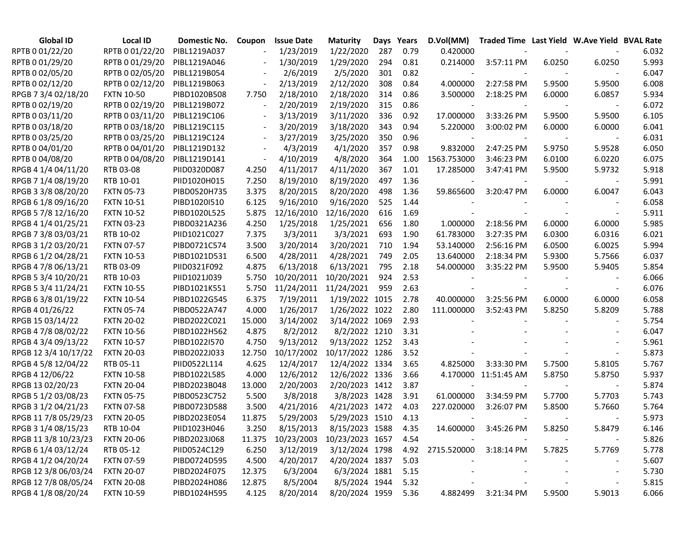| <b>Global ID</b>     | Local ID          | Domestic No. | Coupon                   | <b>Issue Date</b>                 | <b>Maturity</b> | Days | Years | D.Vol(MM)   | Traded Time Last Yield W.Ave Yield BVAL Rate |        |        |       |
|----------------------|-------------------|--------------|--------------------------|-----------------------------------|-----------------|------|-------|-------------|----------------------------------------------|--------|--------|-------|
| RPTB 0 01/22/20      | RPTB 0 01/22/20   | PIBL1219A037 |                          | 1/23/2019                         | 1/22/2020       | 287  | 0.79  | 0.420000    |                                              |        |        | 6.032 |
| RPTB 0 01/29/20      | RPTB 0 01/29/20   | PIBL1219A046 |                          | 1/30/2019                         | 1/29/2020       | 294  | 0.81  | 0.214000    | 3:57:11 PM                                   | 6.0250 | 6.0250 | 5.993 |
| RPTB 0 02/05/20      | RPTB 0 02/05/20   | PIBL1219B054 |                          | 2/6/2019                          | 2/5/2020        | 301  | 0.82  |             |                                              |        |        | 6.047 |
| RPTB 0 02/12/20      | RPTB 0 02/12/20   | PIBL1219B063 |                          | 2/13/2019                         | 2/12/2020       | 308  | 0.84  | 4.000000    | 2:27:58 PM                                   | 5.9500 | 5.9500 | 6.008 |
| RPGB 7 3/4 02/18/20  | <b>FXTN 10-50</b> | PIBD1020B508 | 7.750                    | 2/18/2010                         | 2/18/2020       | 314  | 0.86  | 3.500000    | 2:18:25 PM                                   | 6.0000 | 6.0857 | 5.934 |
| RPTB 0 02/19/20      | RPTB 0 02/19/20   | PIBL1219B072 |                          | 2/20/2019                         | 2/19/2020       | 315  | 0.86  |             |                                              |        |        | 6.072 |
| RPTB 0 03/11/20      | RPTB 0 03/11/20   | PIBL1219C106 |                          | 3/13/2019                         | 3/11/2020       | 336  | 0.92  | 17.000000   | 3:33:26 PM                                   | 5.9500 | 5.9500 | 6.105 |
| RPTB 0 03/18/20      | RPTB 0 03/18/20   | PIBL1219C115 |                          | 3/20/2019                         | 3/18/2020       | 343  | 0.94  | 5.220000    | 3:00:02 PM                                   | 6.0000 | 6.0000 | 6.041 |
| RPTB 0 03/25/20      | RPTB 0 03/25/20   | PIBL1219C124 | $\overline{\phantom{a}}$ | 3/27/2019                         | 3/25/2020       | 350  | 0.96  |             |                                              |        |        | 6.031 |
| RPTB 0 04/01/20      | RPTB 0 04/01/20   | PIBL1219D132 | $\overline{\phantom{a}}$ | 4/3/2019                          | 4/1/2020        | 357  | 0.98  | 9.832000    | 2:47:25 PM                                   | 5.9750 | 5.9528 | 6.050 |
| RPTB 0 04/08/20      | RPTB 0 04/08/20   | PIBL1219D141 | $\overline{\phantom{a}}$ | 4/10/2019                         | 4/8/2020        | 364  | 1.00  | 1563.753000 | 3:46:23 PM                                   | 6.0100 | 6.0220 | 6.075 |
| RPGB 4 1/4 04/11/20  | RTB 03-08         | PIID0320D087 | 4.250                    | 4/11/2017                         | 4/11/2020       | 367  | 1.01  | 17.285000   | 3:47:41 PM                                   | 5.9500 | 5.9732 | 5.918 |
| RPGB 7 1/4 08/19/20  | RTB 10-01         | PIID1020H015 | 7.250                    | 8/19/2010                         | 8/19/2020       | 497  | 1.36  |             |                                              |        |        | 5.991 |
| RPGB 3 3/8 08/20/20  | <b>FXTN 05-73</b> | PIBD0520H735 | 3.375                    | 8/20/2015                         | 8/20/2020       | 498  | 1.36  | 59.865600   | 3:20:47 PM                                   | 6.0000 | 6.0047 | 6.043 |
| RPGB 6 1/8 09/16/20  | <b>FXTN 10-51</b> | PIBD1020I510 | 6.125                    | 9/16/2010                         | 9/16/2020       | 525  | 1.44  |             |                                              |        |        | 6.058 |
| RPGB 5 7/8 12/16/20  | <b>FXTN 10-52</b> | PIBD1020L525 | 5.875                    | 12/16/2010                        | 12/16/2020      | 616  | 1.69  |             |                                              |        |        | 5.911 |
| RPGB 4 1/4 01/25/21  | <b>FXTN 03-23</b> | PIBD0321A236 | 4.250                    | 1/25/2018                         | 1/25/2021       | 656  | 1.80  | 1.000000    | 2:18:56 PM                                   | 6.0000 | 6.0000 | 5.985 |
| RPGB 7 3/8 03/03/21  | RTB 10-02         | PIID1021C027 | 7.375                    | 3/3/2011                          | 3/3/2021        | 693  | 1.90  | 61.783000   | 3:27:35 PM                                   | 6.0300 | 6.0316 | 6.021 |
| RPGB 3 1/2 03/20/21  | <b>FXTN 07-57</b> | PIBD0721C574 | 3.500                    | 3/20/2014                         | 3/20/2021       | 710  | 1.94  | 53.140000   | 2:56:16 PM                                   | 6.0500 | 6.0025 | 5.994 |
| RPGB 6 1/2 04/28/21  | <b>FXTN 10-53</b> | PIBD1021D531 | 6.500                    | 4/28/2011                         | 4/28/2021       | 749  | 2.05  | 13.640000   | 2:18:34 PM                                   | 5.9300 | 5.7566 | 6.037 |
| RPGB 4 7/8 06/13/21  | RTB 03-09         | PIID0321F092 | 4.875                    | 6/13/2018                         | 6/13/2021       | 795  | 2.18  | 54.000000   | 3:35:22 PM                                   | 5.9500 | 5.9405 | 5.854 |
| RPGB 5 3/4 10/20/21  | RTB 10-03         | PIID1021J039 | 5.750                    | 10/20/2011                        | 10/20/2021      | 924  | 2.53  |             |                                              |        |        | 6.066 |
| RPGB 5 3/4 11/24/21  | <b>FXTN 10-55</b> | PIBD1021K551 | 5.750                    | 11/24/2011                        | 11/24/2021      | 959  | 2.63  |             |                                              |        |        | 6.076 |
| RPGB 63/8 01/19/22   | <b>FXTN 10-54</b> | PIBD1022G545 | 6.375                    | 7/19/2011                         | 1/19/2022 1015  |      | 2.78  | 40.000000   | 3:25:56 PM                                   | 6.0000 | 6.0000 | 6.058 |
| RPGB 4 01/26/22      | <b>FXTN 05-74</b> | PIBD0522A747 | 4.000                    | 1/26/2017                         | 1/26/2022 1022  |      | 2.80  | 111.000000  | 3:52:43 PM                                   | 5.8250 | 5.8209 | 5.788 |
| RPGB 15 03/14/22     | <b>FXTN 20-02</b> | PIBD2022C021 | 15.000                   | 3/14/2002                         | 3/14/2022 1069  |      | 2.93  |             |                                              |        |        | 5.754 |
| RPGB 4 7/8 08/02/22  | <b>FXTN 10-56</b> | PIBD1022H562 | 4.875                    | 8/2/2012                          | 8/2/2022 1210   |      | 3.31  |             |                                              |        |        | 6.047 |
| RPGB 4 3/4 09/13/22  | <b>FXTN 10-57</b> | PIBD1022I570 | 4.750                    | 9/13/2012                         | 9/13/2022 1252  |      | 3.43  |             |                                              |        |        | 5.961 |
| RPGB 12 3/4 10/17/22 | <b>FXTN 20-03</b> | PIBD2022J033 | 12.750                   | 10/17/2002                        | 10/17/2022 1286 |      | 3.52  |             |                                              |        |        | 5.873 |
| RPGB 4 5/8 12/04/22  | RTB 05-11         | PIID0522L114 | 4.625                    | 12/4/2017                         | 12/4/2022 1334  |      | 3.65  | 4.825000    | 3:33:30 PM                                   | 5.7500 | 5.8105 | 5.767 |
| RPGB 4 12/06/22      | <b>FXTN 10-58</b> | PIBD1022L585 | 4.000                    | 12/6/2012                         | 12/6/2022 1336  |      | 3.66  |             | 4.170000 11:51:45 AM                         | 5.8750 | 5.8750 | 5.937 |
| RPGB 13 02/20/23     | <b>FXTN 20-04</b> | PIBD2023B048 | 13.000                   | 2/20/2003                         | 2/20/2023 1412  |      | 3.87  |             |                                              |        |        | 5.874 |
| RPGB 5 1/2 03/08/23  | <b>FXTN 05-75</b> | PIBD0523C752 | 5.500                    | 3/8/2018                          | 3/8/2023 1428   |      | 3.91  | 61.000000   | 3:34:59 PM                                   | 5.7700 | 5.7703 | 5.743 |
| RPGB 3 1/2 04/21/23  | <b>FXTN 07-58</b> | PIBD0723D588 | 3.500                    | 4/21/2016                         | 4/21/2023 1472  |      | 4.03  | 227.020000  | 3:26:07 PM                                   | 5.8500 | 5.7660 | 5.764 |
| RPGB 11 7/8 05/29/23 | <b>FXTN 20-05</b> | PIBD2023E054 | 11.875                   | 5/29/2003                         | 5/29/2023 1510  |      | 4.13  |             |                                              |        |        | 5.973 |
| RPGB 3 1/4 08/15/23  | RTB 10-04         | PIID1023H046 | 3.250                    | 8/15/2013                         | 8/15/2023 1588  |      | 4.35  | 14.600000   | 3:45:26 PM                                   | 5.8250 | 5.8479 | 6.146 |
| RPGB 11 3/8 10/23/23 | <b>FXTN 20-06</b> | PIBD2023J068 |                          | 11.375 10/23/2003 10/23/2023 1657 |                 |      | 4.54  |             |                                              |        |        | 5.826 |
| RPGB 6 1/4 03/12/24  | RTB 05-12         | PIID0524C129 | 6.250                    | 3/12/2019                         | 3/12/2024 1798  |      | 4.92  |             | 2715.520000 3:18:14 PM                       | 5.7825 | 5.7769 | 5.778 |
| RPGB 4 1/2 04/20/24  | <b>FXTN 07-59</b> | PIBD0724D595 | 4.500                    | 4/20/2017                         | 4/20/2024 1837  |      | 5.03  |             |                                              |        |        | 5.607 |
| RPGB 12 3/8 06/03/24 | <b>FXTN 20-07</b> | PIBD2024F075 | 12.375                   | 6/3/2004                          | 6/3/2024 1881   |      | 5.15  |             |                                              |        |        | 5.730 |
| RPGB 12 7/8 08/05/24 | <b>FXTN 20-08</b> | PIBD2024H086 | 12.875                   | 8/5/2004                          | 8/5/2024 1944   |      | 5.32  |             |                                              |        |        | 5.815 |
| RPGB 4 1/8 08/20/24  | <b>FXTN 10-59</b> | PIBD1024H595 | 4.125                    | 8/20/2014                         | 8/20/2024 1959  |      | 5.36  | 4.882499    | 3:21:34 PM                                   | 5.9500 | 5.9013 | 6.066 |
|                      |                   |              |                          |                                   |                 |      |       |             |                                              |        |        |       |